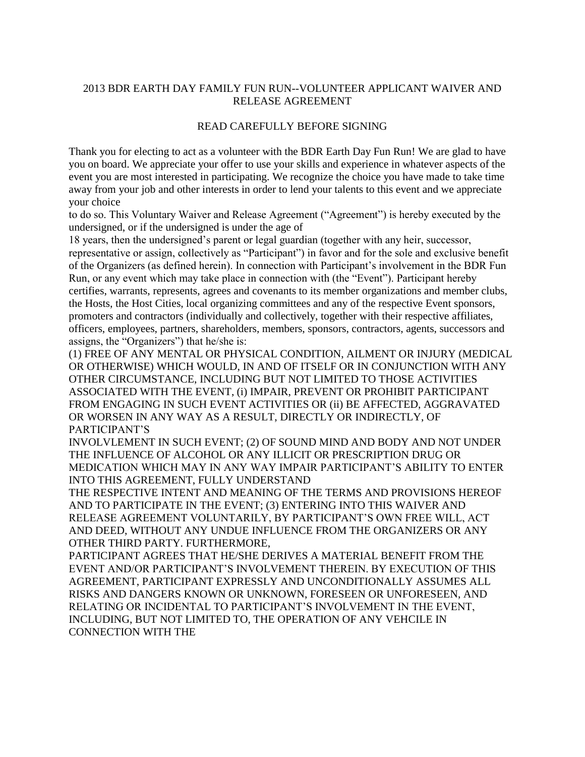## 2013 BDR EARTH DAY FAMILY FUN RUN--VOLUNTEER APPLICANT WAIVER AND RELEASE AGREEMENT

## READ CAREFULLY BEFORE SIGNING

Thank you for electing to act as a volunteer with the BDR Earth Day Fun Run! We are glad to have you on board. We appreciate your offer to use your skills and experience in whatever aspects of the event you are most interested in participating. We recognize the choice you have made to take time away from your job and other interests in order to lend your talents to this event and we appreciate your choice

to do so. This Voluntary Waiver and Release Agreement ("Agreement") is hereby executed by the undersigned, or if the undersigned is under the age of

18 years, then the undersigned's parent or legal guardian (together with any heir, successor, representative or assign, collectively as "Participant") in favor and for the sole and exclusive benefit of the Organizers (as defined herein). In connection with Participant's involvement in the BDR Fun Run, or any event which may take place in connection with (the "Event"). Participant hereby certifies, warrants, represents, agrees and covenants to its member organizations and member clubs, the Hosts, the Host Cities, local organizing committees and any of the respective Event sponsors, promoters and contractors (individually and collectively, together with their respective affiliates, officers, employees, partners, shareholders, members, sponsors, contractors, agents, successors and assigns, the "Organizers") that he/she is:

(1) FREE OF ANY MENTAL OR PHYSICAL CONDITION, AILMENT OR INJURY (MEDICAL OR OTHERWISE) WHICH WOULD, IN AND OF ITSELF OR IN CONJUNCTION WITH ANY OTHER CIRCUMSTANCE, INCLUDING BUT NOT LIMITED TO THOSE ACTIVITIES ASSOCIATED WITH THE EVENT, (i) IMPAIR, PREVENT OR PROHIBIT PARTICIPANT FROM ENGAGING IN SUCH EVENT ACTIVITIES OR (ii) BE AFFECTED, AGGRAVATED OR WORSEN IN ANY WAY AS A RESULT, DIRECTLY OR INDIRECTLY, OF PARTICIPANT'S

INVOLVLEMENT IN SUCH EVENT; (2) OF SOUND MIND AND BODY AND NOT UNDER THE INFLUENCE OF ALCOHOL OR ANY ILLICIT OR PRESCRIPTION DRUG OR MEDICATION WHICH MAY IN ANY WAY IMPAIR PARTICIPANT'S ABILITY TO ENTER INTO THIS AGREEMENT, FULLY UNDERSTAND

THE RESPECTIVE INTENT AND MEANING OF THE TERMS AND PROVISIONS HEREOF AND TO PARTICIPATE IN THE EVENT; (3) ENTERING INTO THIS WAIVER AND RELEASE AGREEMENT VOLUNTARILY, BY PARTICIPANT'S OWN FREE WILL, ACT AND DEED, WITHOUT ANY UNDUE INFLUENCE FROM THE ORGANIZERS OR ANY OTHER THIRD PARTY. FURTHERMORE,

PARTICIPANT AGREES THAT HE/SHE DERIVES A MATERIAL BENEFIT FROM THE EVENT AND/OR PARTICIPANT'S INVOLVEMENT THEREIN. BY EXECUTION OF THIS AGREEMENT, PARTICIPANT EXPRESSLY AND UNCONDITIONALLY ASSUMES ALL RISKS AND DANGERS KNOWN OR UNKNOWN, FORESEEN OR UNFORESEEN, AND RELATING OR INCIDENTAL TO PARTICIPANT'S INVOLVEMENT IN THE EVENT, INCLUDING, BUT NOT LIMITED TO, THE OPERATION OF ANY VEHCILE IN CONNECTION WITH THE